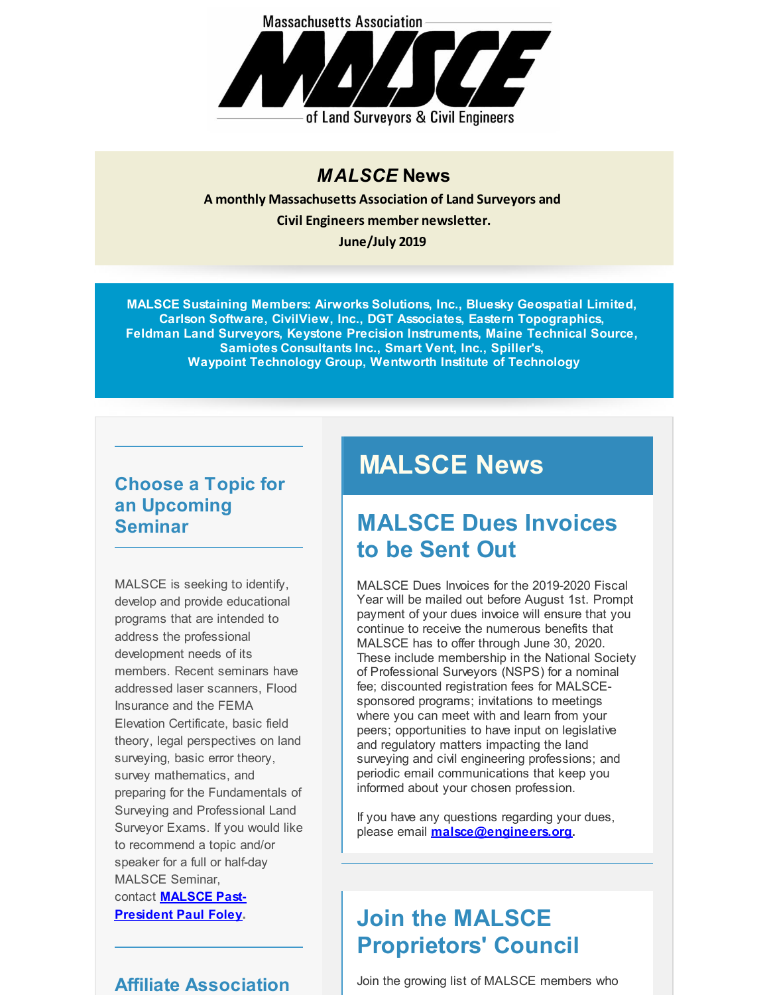

#### *MALSCE* **News**

**A monthly Massachusetts Association of Land Surveyors and Civil Engineers member newsletter. June/July 2019**

**MALSCE Sustaining Members: Airworks Solutions, Inc., Bluesky Geospatial Limited, Carlson Software, CivilView, Inc., DGT Associates, Eastern Topographics, Feldman Land Surveyors, Keystone Precision Instruments, Maine Technical Source, Samiotes Consultants Inc., Smart Vent, Inc., Spiller's, Waypoint Technology Group, Wentworth Institute of Technology**

### **Choose a Topic for an Upcoming Seminar**

MALSCE is seeking to identify, develop and provide educational programs that are intended to address the professional development needs of its members. Recent seminars have addressed laser scanners, Flood Insurance and the FEMA Elevation Certificate, basic field theory, legal perspectives on land surveying, basic error theory, survey mathematics, and preparing for the Fundamentals of Surveying and Professional Land Surveyor Exams. If you would like to recommend a topic and/or speaker for a full or half-day MALSCE Seminar, contact **[MALSCE](mailto:pfoley@feldmansurveyors.com) Past-President Paul Foley.**

### **Affiliate Association**

# **MALSCE News**

### **MALSCE Dues Invoices to be Sent Out**

MALSCE Dues Invoices for the 2019-2020 Fiscal Year will be mailed out before August 1st. Prompt payment of your dues invoice will ensure that you continue to receive the numerous benefits that MALSCE has to offer through June 30, 2020. These include membership in the National Society of Professional Surveyors (NSPS) for a nominal fee; discounted registration fees for MALSCEsponsored programs; invitations to meetings where you can meet with and learn from your peers; opportunities to have input on legislative and regulatory matters impacting the land surveying and civil engineering professions; and periodic email communications that keep you informed about your chosen profession.

If you have any questions regarding your dues, please email **[malsce@engineers.org](mailto:malsce@engineers.org).**

## **Join the MALSCE Proprietors' Council**

Join the growing list of MALSCE members who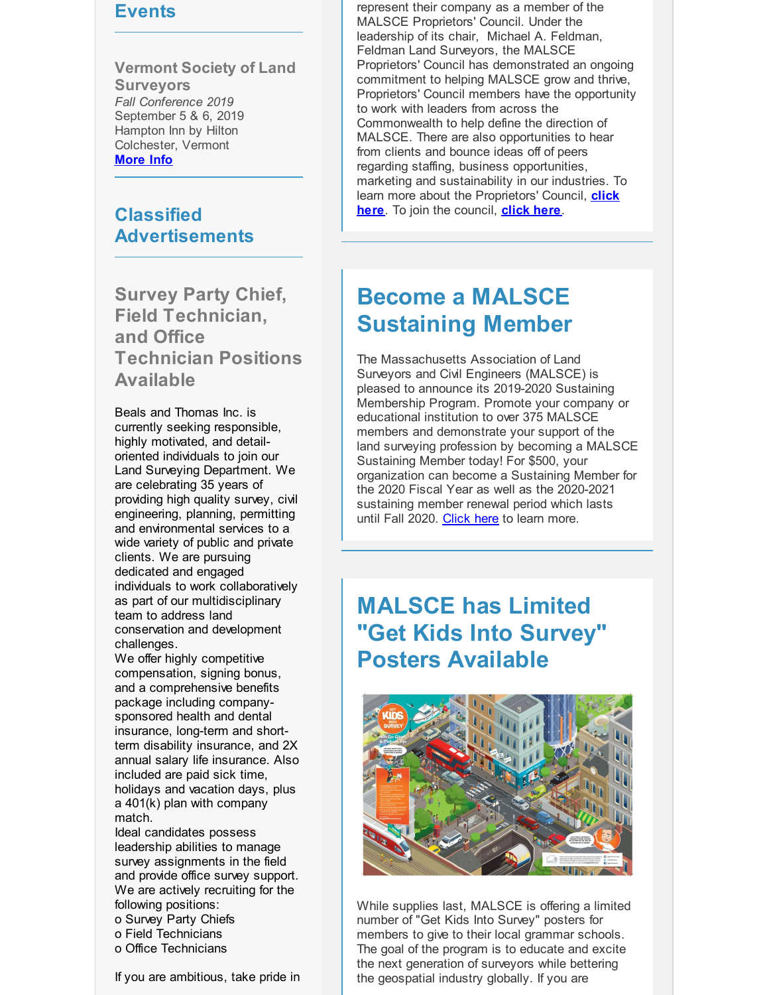#### **Events**

**Vermont Society of Land Surveyors** *Fall Conference 2019* September 5 & 6, 2019 Hampton Inn by Hilton Colchester, Vermont **[More](http://r20.rs6.net/tn.jsp?f=001t3J5MtBI5nPsTEyKaAejHpJkKjaGHrt2em1QN7owAKEmEvnfmKxsB2eiQJnddvp0UxMYRehiYs_3XzPeU5LKM4AJGbcUGlpo_pMaN_YufARgYSZ0pDvgddSwPF0YxkoLWqU1gHkjaUXh6OIDUaQCMfkiMA4WQclSUFBVvBLsyzt7P2MGqZDqCAXw7XkNHIiymkl8A318NrQ=&c=&ch=) Info**

#### **Classified Advertisements**

**Survey Party Chief, Field Technician, and Office Technician Positions Available**

Beals and Thomas Inc. is currently seeking responsible, highly motivated, and detailoriented individuals to join our Land Surveying Department. We are celebrating 35 years of providing high quality survey, civil engineering, planning, permitting and environmental services to a wide variety of public and private clients. We are pursuing dedicated and engaged individuals to work collaboratively as part of our multidisciplinary team to address land conservation and development challenges.

We offer highly competitive compensation, signing bonus, and a comprehensive benefits package including companysponsored health and dental insurance, long-term and shortterm disability insurance, and 2X annual salary life insurance. Also included are paid sick time, holidays and vacation days, plus a 401(k) plan with company match.

Ideal candidates possess leadership abilities to manage survey assignments in the field and provide office survey support. We are actively recruiting for the following positions:

- o Survey Party Chiefs
- o Field Technicians
- o Office Technicians

If you are ambitious, take pride in

represent their company as a member of the MALSCE Proprietors' Council. Under the leadership of its chair, Michael A. Feldman, Feldman Land Surveyors, the MALSCE Proprietors' Council has demonstrated an ongoing commitment to helping MALSCE grow and thrive, Proprietors' Council members have the opportunity to work with leaders from across the Commonwealth to help define the direction of MALSCE. There are also opportunities to hear from clients and bounce ideas off of peers regarding staffing, business opportunities, marketing and sustainability in our industries. To learn more about the [Proprietors'](http://r20.rs6.net/tn.jsp?f=001t3J5MtBI5nPsTEyKaAejHpJkKjaGHrt2em1QN7owAKEmEvnfmKxsBxfyjj6_Fp2u5jlKiw6TMLWxzgX_QAEcLML7GTgEI5qFBN6IGKLZrOZrKW0qhrFeAWaRblh5Ik5ZD_FPmQdU5k_ARCGmKJ0mnPcD4epCb7aT4jPio2VIp5AAZkPNX8YrPmofuDG67X7aoNdcL3O0gvpazLpcw120WQ==&c=&ch=) Council, **click here**. To join the council, **[click](http://r20.rs6.net/tn.jsp?f=001t3J5MtBI5nPsTEyKaAejHpJkKjaGHrt2em1QN7owAKEmEvnfmKxsB84Mfa6EDa-pz-rddJcrqtKf7MyGaSPaJr1oycykmIYX-17H13C1hho0nsM2gfLCLSqufdijMjyaVJcD3z1dbpLmpXqHFCkLpgUAUe7Q45RdDlt2x9oI7_poPoEQCdO-Ij6CWSJGd_9YuhERu-gtdaZsosS6A_ytTa93jA1XCpTXZcA6z_grKgYbU4gwCypXD-WTz-Qfk7Js&c=&ch=) here**.

### **Become a MALSCE Sustaining Member**

The Massachusetts Association of Land Surveyors and Civil Engineers (MALSCE) is pleased to announce its 2019-2020 Sustaining Membership Program. Promote your company or educational institution to over 375 MALSCE members and demonstrate your support of the land surveying profession by becoming a MALSCE Sustaining Member today! For \$500, your organization can become a Sustaining Member for the 2020 Fiscal Year as well as the 2020-2021 sustaining member renewal period which lasts until Fall 2020. [Click](http://r20.rs6.net/tn.jsp?f=001t3J5MtBI5nPsTEyKaAejHpJkKjaGHrt2em1QN7owAKEmEvnfmKxsB2eiQJnddvp0xhvpaJyzbl9Wa8uAJZEncEoiFxygX3hp52f8LNPnBBgeLmoB4j5xt6mZHcfUhdDwj9WFED74XbdN796vU0K0DgzBu_sFyk7nyBt6536aptJkqsL1egj1vJ8x4VCfJGhS_viEXKR_KYXILrLY17DAkWq83T8TEfuT9kdi-3ezAQyxvPIKlV7yV5LISofv4-22eBYy4dkNfUg=&c=&ch=) here to learn more.

### **MALSCE has Limited "Get Kids Into Survey" Posters Available**



While supplies last, MALSCE is offering a limited number of "Get Kids Into Survey" posters for members to give to their local grammar schools. The goal of the program is to educate and excite the next generation of surveyors while bettering the geospatial industry globally. If you are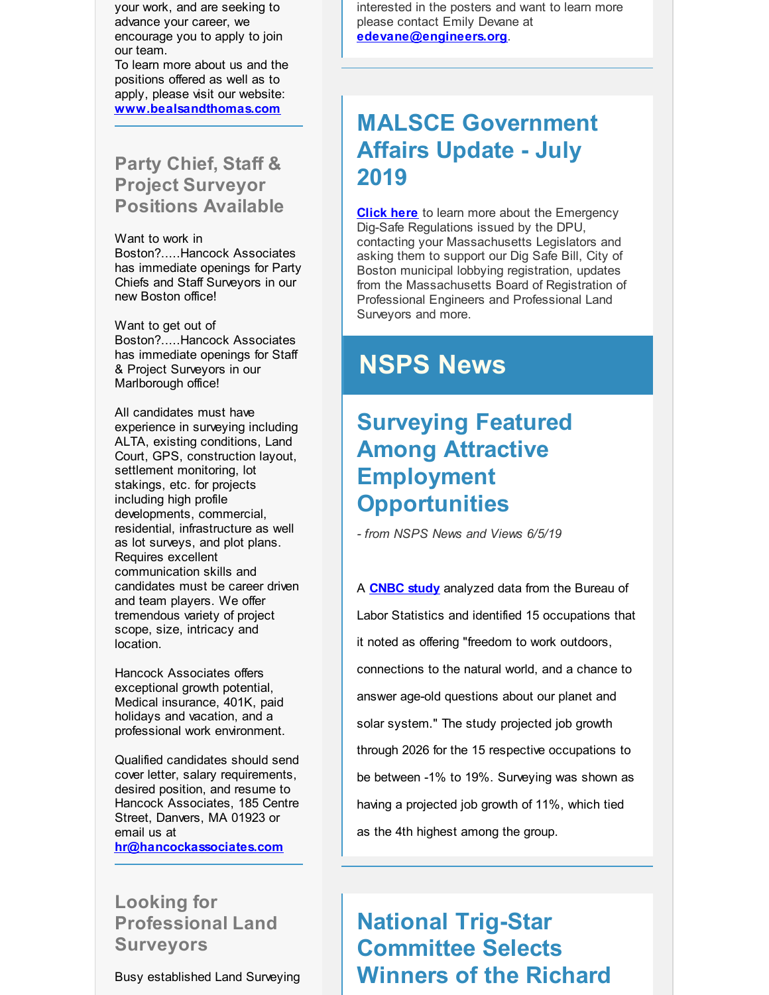your work, and are seeking to advance your career, we encourage you to apply to join our team.

To learn more about us and the positions offered as well as to apply, please visit our website: **[www.bealsandthomas.com](http://r20.rs6.net/tn.jsp?f=001t3J5MtBI5nPsTEyKaAejHpJkKjaGHrt2em1QN7owAKEmEvnfmKxsB-fQfgzAXw6L8D508BIkT3OsENYgAWc0KMxfGOSUJn-cHVvzXKv0C_59unde-fe3himDpCftodomnbtIedITLLwd30dWic6h4JEgboSrJ0cpflhj3JaN8R9u_VoTQDg7Fg==&c=&ch=)**

#### **Party Chief, Staff & Project Surveyor Positions Available**

Want to work in Boston?.....Hancock Associates has immediate openings for Party Chiefs and Staff Surveyors in our new Boston office!

Want to get out of Boston?.....Hancock Associates has immediate openings for Staff & Project Surveyors in our Marlborough office!

All candidates must have experience in surveying including ALTA, existing conditions, Land Court, GPS, construction layout, settlement monitoring, lot stakings, etc. for projects including high profile developments, commercial, residential, infrastructure as well as lot surveys, and plot plans. Requires excellent communication skills and candidates must be career driven and team players. We offer tremendous variety of project scope, size, intricacy and location.

Hancock Associates offers exceptional growth potential, Medical insurance, 401K, paid holidays and vacation, and a professional work environment.

Qualified candidates should send cover letter, salary requirements, desired position, and resume to Hancock Associates, 185 Centre Street, Danvers, MA 01923 or email us at **[hr@hancockassociates.com](mailto:hr@hancockassociates.com)**

**Looking for Professional Land Surveyors**

Busy established Land Surveying

interested in the posters and want to learn more please contact Emily Devane at **[edevane@engineers.org](mailto:edevane@engineers.org)**.

## **MALSCE Government Affairs Update - July 2019**

**[Click](http://r20.rs6.net/tn.jsp?f=001t3J5MtBI5nPsTEyKaAejHpJkKjaGHrt2em1QN7owAKEmEvnfmKxsB84Mfa6EDa-pr4avXY-KBJXXCrKUdAbzJPGaP3_ptuzBEQta-b9NJiYAcOU7E5T_9YhWWiBIYUvwnZDiMIxfZpwR-vFIMH0c4nq_H8jjKl4JWWXjXccdeU8mfaedsT1r3Rh0jtKb6kQ3ym_uEvcOgpVzoeL6PmNwwas2nsidQYjl3xero8ggxMJszxxYBGyh5VpiwndMCF0WLUqiJnW-Ads=&c=&ch=) here** to learn more about the Emergency Dig-Safe Regulations issued by the DPU, contacting your Massachusetts Legislators and asking them to support our Dig Safe Bill, City of Boston municipal lobbying registration, updates from the Massachusetts Board of Registration of Professional Engineers and Professional Land Surveyors and more.

# **NSPS News**

## **Surveying Featured Among Attractive Employment Opportunities**

*- from NSPS News and Views 6/5/19*

A **[CNBC](http://r20.rs6.net/tn.jsp?f=001t3J5MtBI5nPsTEyKaAejHpJkKjaGHrt2em1QN7owAKEmEvnfmKxsB2eiQJnddvp0yfok7tABQSINAH8etLV9CERAzGvw1c2CfHm5wEmEvtEgV3E1aMVwh8wyK6Byg8Y-rOYID_H94FUjjjCiKCBInB7euZtm1ofXzItJYjhmM3Wjnke1PLCurfW2EQNgxs_xPbFBzZISFhBp17GBKfoaC7iMzOtbUmNQsAJdXcYyW2VKqVsO1gPC5obSFuUDJmmFiO_vx9C1IZc=&c=&ch=) study** analyzed data from the Bureau of Labor Statistics and identified 15 occupations that it noted as offering "freedom to work outdoors, connections to the natural world, and a chance to answer age-old questions about our planet and solar system." The study projected job growth through 2026 for the 15 respective occupations to be between -1% to 19%. Surveying was shown as having a projected job growth of 11%, which tied as the 4th highest among the group.

# **National Trig-Star Committee Selects Winners of the Richard**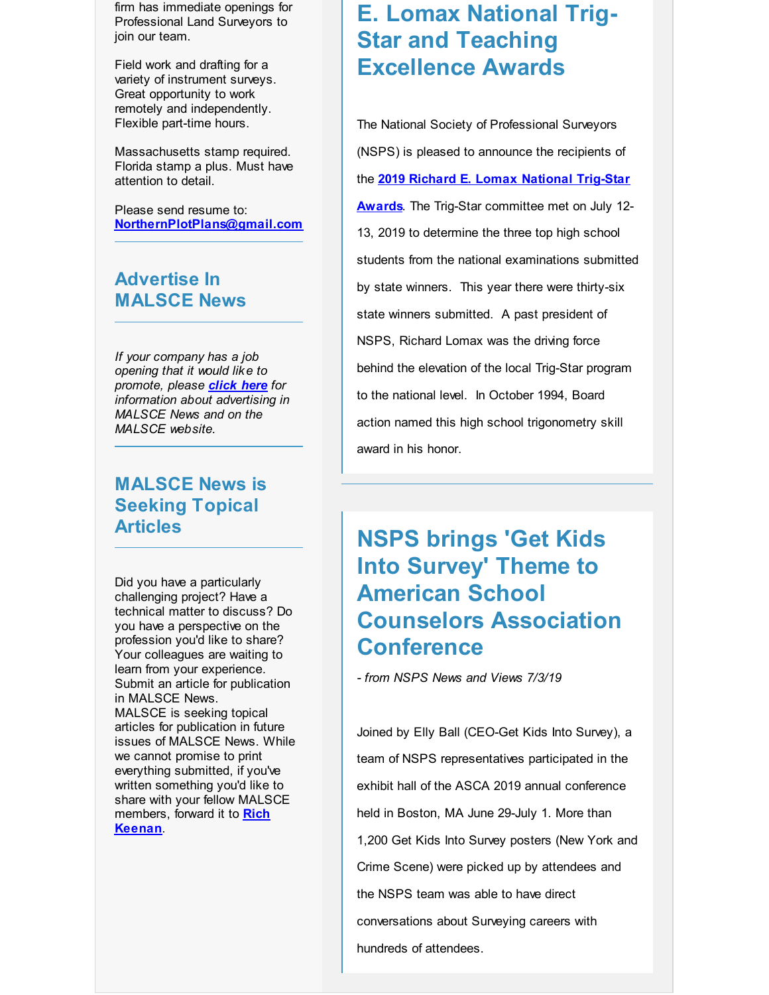firm has immediate openings for Professional Land Surveyors to join our team.

Field work and drafting for a variety of instrument surveys. Great opportunity to work remotely and independently. Flexible part-time hours.

Massachusetts stamp required. Florida stamp a plus. Must have attention to detail.

Please send resume to: **[NorthernPlotPlans@gmail.com](mailto:NorthernPlotPlans@gmail.com)**

#### **Advertise In MALSCE News**

*If your company has a job opening that it would like to promote, please [click](http://r20.rs6.net/tn.jsp?f=001t3J5MtBI5nPsTEyKaAejHpJkKjaGHrt2em1QN7owAKEmEvnfmKxsB84Mfa6EDa-pPqkQlF2g_joDGDytdn52IiE4HJSl8VvTvz4ujIQvcB-wHC0ISEj3OCr13b-FLoO_G82sbMEpd-a7zndWWCPQE0yq9W1fEJuG_PfKlzDKARayIAG5XQS2KCYb_6Cefet_JaAWPSCBp_fNg7aPH9fVCorukE2afuXWiwHUtvTGeRY2qywSndmCow==&c=&ch=) here for information about advertising in MALSCE News and on the MALSCE website.*

#### **MALSCE News is Seeking Topical Articles**

Did you have a particularly challenging project? Have a technical matter to discuss? Do you have a perspective on the profession you'd like to share? Your colleagues are waiting to learn from your experience. Submit an article for publication in MALSCE News. MALSCE is seeking topical articles for publication in future issues of MALSCE News. While we cannot promise to print everything submitted, if you've written something you'd like to share with your fellow MALSCE [members,](mailto:rkeenan@engineers.org) forward it to **Rich Keenan**.

### **E. Lomax National Trig-Star and Teaching Excellence Awards**

The National Society of Professional Surveyors (NSPS) is pleased to announce the recipients of the **2019 Richard E. Lomax National Trig-Star Awards**. The Trig-Star [committee](http://r20.rs6.net/tn.jsp?f=001t3J5MtBI5nPsTEyKaAejHpJkKjaGHrt2em1QN7owAKEmEvnfmKxsB2eiQJnddvp0kgKHpXM2fLLIA_TRnMJvRueqmTGW8rSsd7nLfw1ExejFVgI2AxC6fntq0ua16_SZke2TePQKF4vdGmLQKW4y_O-1E8FjL9eKCuBowWY1HUnS2qfXwRNigbvYeOHmm8Jn3kRRUb6tPfvc2JIHnWlmLS7xy8_AnUAxMspZZag4ta4=&c=&ch=) met on July 12- 13, 2019 to determine the three top high school students from the national examinations submitted by state winners. This year there were thirty-six state winners submitted. A past president of NSPS, Richard Lomax was the driving force behind the elevation of the local Trig-Star program to the national level. In October 1994, Board action named this high school trigonometry skill award in his honor.

### **NSPS brings 'Get Kids Into Survey' Theme to American School Counselors Association Conference**

*- from NSPS News and Views 7/3/19*

Joined by Elly Ball (CEO-Get Kids Into Survey), a team of NSPS representatives participated in the exhibit hall of the ASCA 2019 annual conference held in Boston, MA June 29-July 1. More than 1,200 Get Kids Into Survey posters (New York and Crime Scene) were picked up by attendees and the NSPS team was able to have direct conversations about Surveying careers with hundreds of attendees.